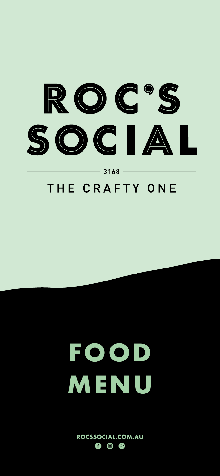

 $3168 -$ 

## THE CRAFTY ONE

# **FOOD**

## **MENU**

#### **ROCSSOCIAL.COM.AU**  $\circledcirc$  $\left( \equiv \right)$  $\left( f\right)$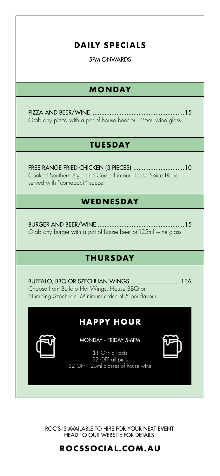

Cooked Southern Style and Coated in our House Spice Blend served with "comeback" sauce

## WEDNESDAY

Grab any burger with a pot of house beer or 125ml wine glass

## THURSDAY

BUFFALO, BBQ OR SZECHUAN WINGS ...............................1 EA Choose from Buffalo Hot Wings, House BBQ or Numbing Szechuan. Minimum order of 5 per flavour.

## **HAPPY HOUR**

MONDAY - FRIDAY 5-6PM

\$1 OFF all pots

\$2 OFF all pints



## **HEAD TO OUR WEBSITE FOR DETAILS.**

ROCSSOCIAL.COM.AU

ROC'S IS AVAILABLE TO HIRE FOR YOUR NEXT EVENT.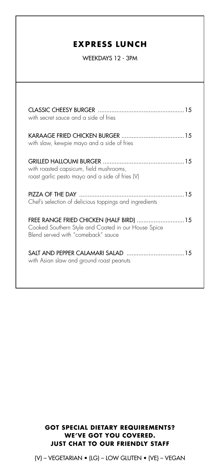## **EXPRESS LUNCH**

WEEKDAYS 12 - 3PM

| with secret sauce and a side of fries      |  |
|--------------------------------------------|--|
| with slaw, kewpie mayo and a side of fries |  |
| with roasted capsicum, field mushrooms,    |  |

roast garlic pesto mayo and a side of fries (V)

Chef's selection of delicious toppings and ingredients

FREE RANGE FRIED CHICKEN (HALF BIRD) .............................. 15 Cooked Southern Style and Coated in our House Spice Blend served with "comeback" sauce

with Asian slaw and ground roast peanuts

(V) - VEGETARIAN • (LG) - LOW GLUTEN • (VE) - VEGAN

### **GOT SPECIAL DIETARY REQUIREMENTS?** WE'VE GOT YOU COVERED. **JUST CHAT TO OUR FRIENDLY STAFF**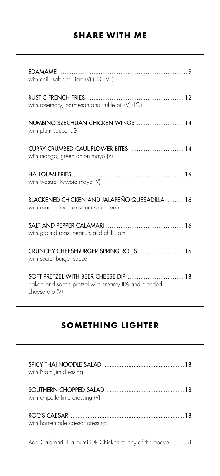| <b>SHARE WITH ME</b>                                                    |  |
|-------------------------------------------------------------------------|--|
| <b>EDAMAME</b><br>with chilli salt and lime (V) (LG) (VE)               |  |
| with rosemary, parmesan and truffle oil (V) (LG)                        |  |
| NUMBING SZECHUAN CHICKEN WINGS  14<br>with plum sauce (LG)              |  |
| CURRY CRUMBED CAULIFLOWER BITES  14<br>with mango, green onion mayo (V) |  |
| HAIIOUMI FRIES                                                          |  |

| SOMETHING LIGHTER                                                                                           |    |
|-------------------------------------------------------------------------------------------------------------|----|
| SOFT PRETZEL WITH BEER CHEESE DIP<br>baked and salted pretzel with creamy IPA and blended<br>cheese dip (V) | 18 |
| CRUNCHY CHEESEBURGER SPRING ROLLS  16<br>with secret burger sauce                                           |    |
| with ground roast peanuts and chilli jam                                                                    |    |
| BLACKENED CHICKEN AND JALAPENO QUESADILLA  16<br>with roasted red capsicum sour cream                       |    |
| with wasabi kewpie mayo (V)                                                                                 |    |

| with Nam Jim dressing                                     |
|-----------------------------------------------------------|
| SOUTHERN CHOPPED SALAD<br>with chipotle lime dressing (V) |
| 18<br>with homemade caesar dressing                       |
|                                                           |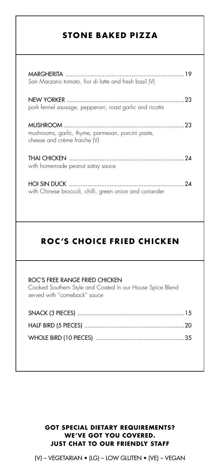## STONE BAKED PIZZA

San Marzano tomato, fior di latte and fresh basil (V)

. . . . . . . . . . . . . . . . 23 pork fennel sausage, pepperoni, roast garlic and ricotta

mushrooms, garlic, thyme, parmesan, porcini paste, cheese and crème fraiche (V)

24 with homemade peanut satay sauce

24

**HOI SIN DUCK** with Chinese broccoli, chilli, green onion and coriander

## ROC'S CHOICE FRIED CHICKEN

#### ROC'S FREE RANGE FRIED CHICKEN

Cooked Southern Style and Coated in our House Spice Blend served with "comeback" sauce

 $(V)$  – VEGETARIAN • (LG) – LOW GLUTEN • (VE) – VEGAN

### **GOT SPECIAL DIETARY REQUIREMENTS? WE'VE GOT YOU COVERED. JUST CHAT TO OUR FRIENDLY STAFF**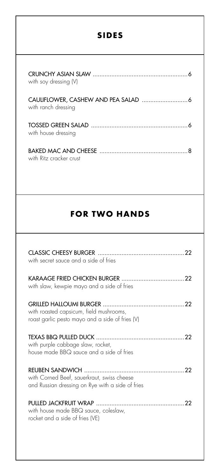

## **FOR TWO HANDS**

| with secret sauce and a side of fries |  |
|---------------------------------------|--|
|                                       |  |

with slaw, kewpie mayo and a side of fries

.22

.22

with roasted capsicum, field mushrooms, roast garlic pesto mayo and a side of fries (V)

22 with purple cabbage slaw, rocket, house made BBQ sauce and a side of fries

with Corned Beef, sauerkraut, swiss cheese and Russian dressing on Rye with a side of fries

#### with house made BBQ sauce, coleslaw, rocket and a side of fries (VE)